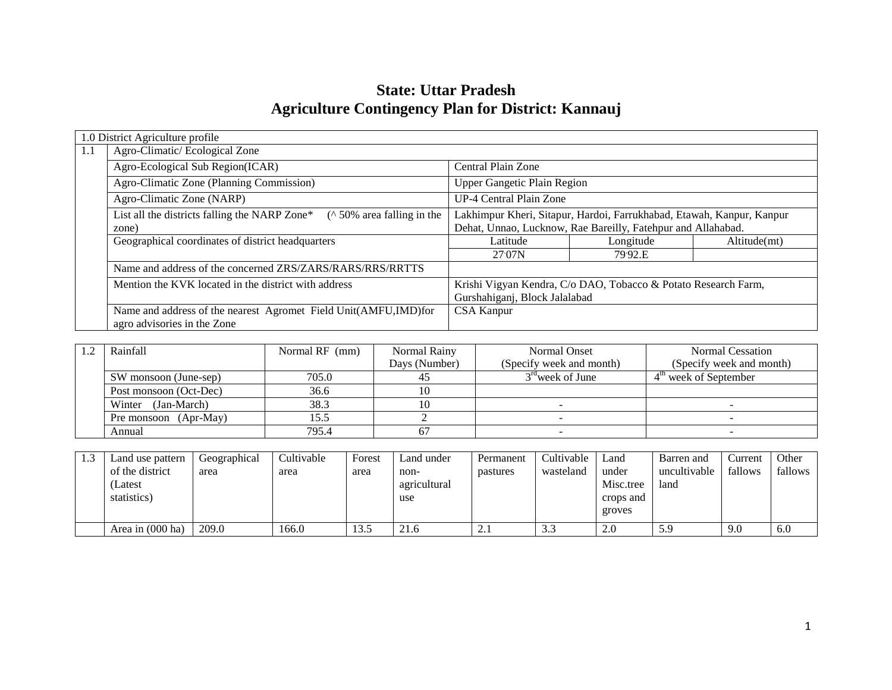# **State: Uttar Pradesh Agriculture Contingency Plan for District: Kannauj**

|     | 1.0 District Agriculture profile                                                                 |                               |                                                                       |              |
|-----|--------------------------------------------------------------------------------------------------|-------------------------------|-----------------------------------------------------------------------|--------------|
| 1.1 | Agro-Climatic/Ecological Zone                                                                    |                               |                                                                       |              |
|     | Agro-Ecological Sub Region(ICAR)                                                                 | Central Plain Zone            |                                                                       |              |
|     | Agro-Climatic Zone (Planning Commission)                                                         | Upper Gangetic Plain Region   |                                                                       |              |
|     | Agro-Climatic Zone (NARP)                                                                        | UP-4 Central Plain Zone       |                                                                       |              |
|     | ( $\land$ 50% area falling in the<br>List all the districts falling the NARP Zone*               |                               | Lakhimpur Kheri, Sitapur, Hardoi, Farrukhabad, Etawah, Kanpur, Kanpur |              |
|     | zone)                                                                                            |                               | Dehat, Unnao, Lucknow, Rae Bareilly, Fatehpur and Allahabad.          |              |
|     | Geographical coordinates of district headquarters                                                | Latitude                      | Longitude                                                             | Altitude(mt) |
|     |                                                                                                  | 27.07N                        | 79.92.E                                                               |              |
|     | Name and address of the concerned ZRS/ZARS/RARS/RRS/RRTTS                                        |                               |                                                                       |              |
|     | Mention the KVK located in the district with address                                             |                               | Krishi Vigyan Kendra, C/o DAO, Tobacco & Potato Research Farm,        |              |
|     |                                                                                                  | Gurshahiganj, Block Jalalabad |                                                                       |              |
|     | Name and address of the nearest Agromet Field Unit(AMFU, IMD) for<br>agro advisories in the Zone | <b>CSA Kanpur</b>             |                                                                       |              |

| Rainfall               | Normal RF (mm) | Normal Rainy  | Normal Onset             | Normal Cessation         |
|------------------------|----------------|---------------|--------------------------|--------------------------|
|                        |                | Days (Number) | (Specify week and month) | (Specify week and month) |
| SW monsoon (June-sep)  | 705.0          |               | $3rd$ week of June       | $4th$ week of September  |
| Post monsoon (Oct-Dec) | 36.6           |               |                          |                          |
| (Jan-March)<br>Winter  | 38.3           |               |                          |                          |
| Pre monsoon (Apr-May)  | 15.5           |               |                          |                          |
| Annual                 | 795.4          |               |                          |                          |

| 1.3 | Land use pattern<br>of the district<br>(Latest<br>statistics) | Geographical<br>area | Cultivable<br>area | Forest<br>area | Land under<br>non-<br>agricultural<br>use | Permanent<br>pastures | Cultivable<br>wasteland | Land<br>under<br>Misc.tree<br>crops and<br>groves | Barren and<br>uncultivable<br>land | Current<br>fallows | Other<br>fallows |
|-----|---------------------------------------------------------------|----------------------|--------------------|----------------|-------------------------------------------|-----------------------|-------------------------|---------------------------------------------------|------------------------------------|--------------------|------------------|
|     | Area in (000 ha)                                              | 209.0                | 166.0              | 13.5           | 21.6                                      | $\mathcal{L}$ .       | $\sim$<br>3.3           | 2.0                                               | .55                                | 9.0                | 6.0              |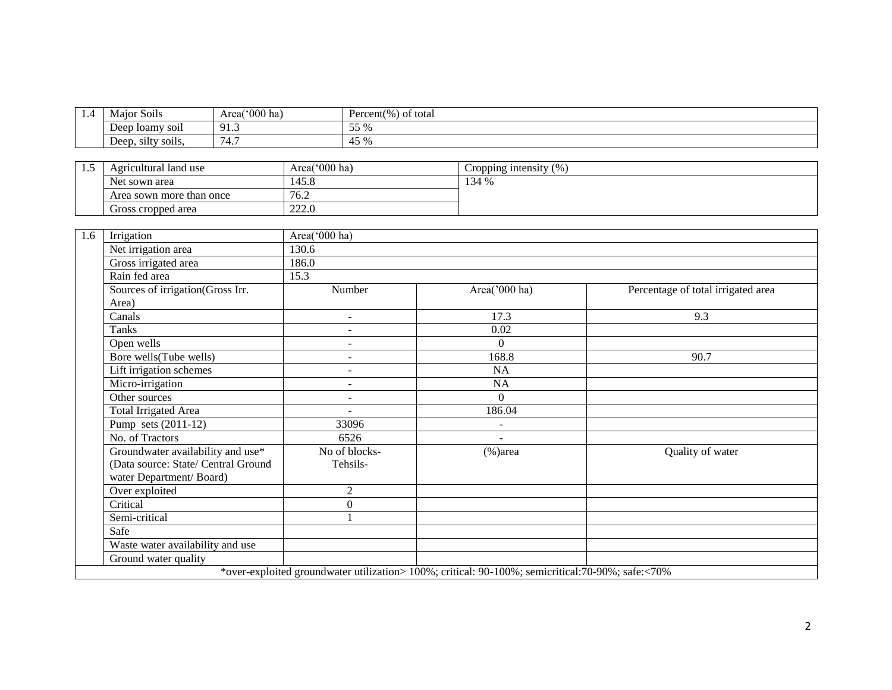| 1.4 | $\cdot$ $\cdot$<br>Major '<br>SO <sub>1</sub> IS | Area( $000$ ha)                   | Percent(%<br>of total              |
|-----|--------------------------------------------------|-----------------------------------|------------------------------------|
|     | loamy soil<br>Deep                               | Q <sub>1</sub><br><u>,</u>        | 550<br>--<br>ັ                     |
|     | Deep, silty soils,                               | $\overline{\phantom{0}}$<br>(4.7) | $\sqrt{5}$<br>42<br>$\overline{1}$ |

| ن د ک | Agricultural land use    | Area('000 ha) | Cropping intensity $(\% )$ |
|-------|--------------------------|---------------|----------------------------|
|       | Net sown area            | 145.8         | 134 %                      |
|       | Area sown more than once | 76.2          |                            |
|       | Gross cropped area       | 222.0         |                            |

| 1.6 | Irrigation                          | Area('000 ha)            |                                                                                                   |                                    |  |  |  |  |
|-----|-------------------------------------|--------------------------|---------------------------------------------------------------------------------------------------|------------------------------------|--|--|--|--|
|     | Net irrigation area                 | 130.6                    |                                                                                                   |                                    |  |  |  |  |
|     | Gross irrigated area                | 186.0                    |                                                                                                   |                                    |  |  |  |  |
|     | Rain fed area                       | 15.3                     |                                                                                                   |                                    |  |  |  |  |
|     | Sources of irrigation(Gross Irr.    | Number                   | Area('000 ha)                                                                                     | Percentage of total irrigated area |  |  |  |  |
|     | Area)                               |                          |                                                                                                   |                                    |  |  |  |  |
|     | Canals                              | $\overline{\phantom{a}}$ | 17.3                                                                                              | 9.3                                |  |  |  |  |
|     | <b>Tanks</b>                        | ٠                        | 0.02                                                                                              |                                    |  |  |  |  |
|     | Open wells                          | $\overline{\phantom{a}}$ | $\Omega$                                                                                          |                                    |  |  |  |  |
|     | Bore wells(Tube wells)              | Ξ.                       | 168.8                                                                                             | 90.7                               |  |  |  |  |
|     | Lift irrigation schemes             | $\overline{\phantom{a}}$ | NA                                                                                                |                                    |  |  |  |  |
|     | Micro-irrigation                    | $\overline{\phantom{a}}$ | NA                                                                                                |                                    |  |  |  |  |
|     | Other sources                       | ٠                        | $\Omega$                                                                                          |                                    |  |  |  |  |
|     | Total Irrigated Area                |                          | 186.04                                                                                            |                                    |  |  |  |  |
|     | Pump sets (2011-12)                 | 33096                    | ÷                                                                                                 |                                    |  |  |  |  |
|     | No. of Tractors                     | 6526                     | $\sim$                                                                                            |                                    |  |  |  |  |
|     | Groundwater availability and use*   | No of blocks-            | $%$ )area                                                                                         | Quality of water                   |  |  |  |  |
|     | (Data source: State/ Central Ground | Tehsils-                 |                                                                                                   |                                    |  |  |  |  |
|     | water Department/Board)             |                          |                                                                                                   |                                    |  |  |  |  |
|     | Over exploited                      | $\overline{2}$           |                                                                                                   |                                    |  |  |  |  |
|     | Critical                            | $\boldsymbol{0}$         |                                                                                                   |                                    |  |  |  |  |
|     | Semi-critical                       |                          |                                                                                                   |                                    |  |  |  |  |
|     | Safe                                |                          |                                                                                                   |                                    |  |  |  |  |
|     | Waste water availability and use    |                          |                                                                                                   |                                    |  |  |  |  |
|     | Ground water quality                |                          |                                                                                                   |                                    |  |  |  |  |
|     |                                     |                          | *over-exploited groundwater utilization> 100%; critical: 90-100%; semicritical: 70-90%; safe:<70% |                                    |  |  |  |  |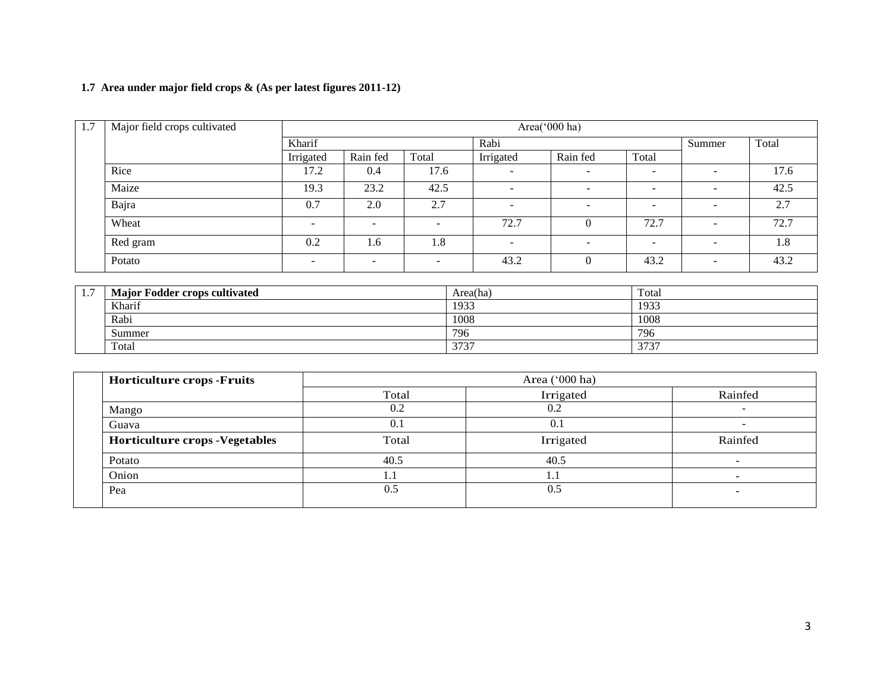# **1.7 Area under major field crops & (As per latest figures 2011-12)**

| 1.7 | Major field crops cultivated | Area('000 ha) |          |                          |                          |                          |                          |                          |       |
|-----|------------------------------|---------------|----------|--------------------------|--------------------------|--------------------------|--------------------------|--------------------------|-------|
|     |                              | Kharif        |          |                          | Rabi                     |                          |                          |                          | Total |
|     |                              | Irrigated     | Rain fed | Total                    | Irrigated                | Rain fed                 | Total                    |                          |       |
|     | Rice                         | 17.2          | 0.4      | 17.6                     |                          | $\overline{\phantom{0}}$ | $\overline{\phantom{0}}$ | $\overline{\phantom{0}}$ | 17.6  |
|     | Maize                        | 19.3          | 23.2     | 42.5                     | -                        | -                        |                          | $\overline{\phantom{0}}$ | 42.5  |
|     | Bajra                        | 0.7           | 2.0      | 2.7                      | $\overline{\phantom{0}}$ | $\overline{\phantom{a}}$ | $\overline{\phantom{a}}$ | $\overline{\phantom{a}}$ | 2.7   |
|     | Wheat                        | -             |          | $\sim$                   | 72.7                     | $\theta$                 | 72.7                     | $\sim$                   | 72.7  |
|     | Red gram                     | 0.2           | 1.6      | 1.8                      | $\overline{\phantom{0}}$ | $\overline{\phantom{a}}$ | $\overline{\phantom{0}}$ | $\sim$                   | 1.8   |
|     | Potato                       |               |          | $\overline{\phantom{a}}$ | 43.2                     | $\theta$                 | 43.2                     | $\overline{\phantom{a}}$ | 43.2  |

| -<br>$\mathbf{1}$ . | <b>Major Fodder crops cultivated</b> | Area(ha)     | Total |
|---------------------|--------------------------------------|--------------|-------|
|                     | Kharif                               | 1933         | 1933  |
|                     | Rabi                                 | 1008         | 1008  |
|                     | Summer                               | 796          | 796   |
|                     | Total                                | 2727<br>313. | 3737  |

| <b>Horticulture crops -Fruits</b>      | Area $('000 ha)$ |           |         |  |  |
|----------------------------------------|------------------|-----------|---------|--|--|
|                                        | Total            | Irrigated | Rainfed |  |  |
| Mango                                  | 0.2              | 0.2       |         |  |  |
| Guava                                  | 0.1              | 0.1       | -       |  |  |
| <b>Horticulture crops - Vegetables</b> | Total            | Irrigated | Rainfed |  |  |
| Potato                                 | 40.5             | 40.5      |         |  |  |
| Onion                                  | 1.1              | 1.1       |         |  |  |
| Pea                                    | 0.5              | 0.5       |         |  |  |
|                                        |                  |           |         |  |  |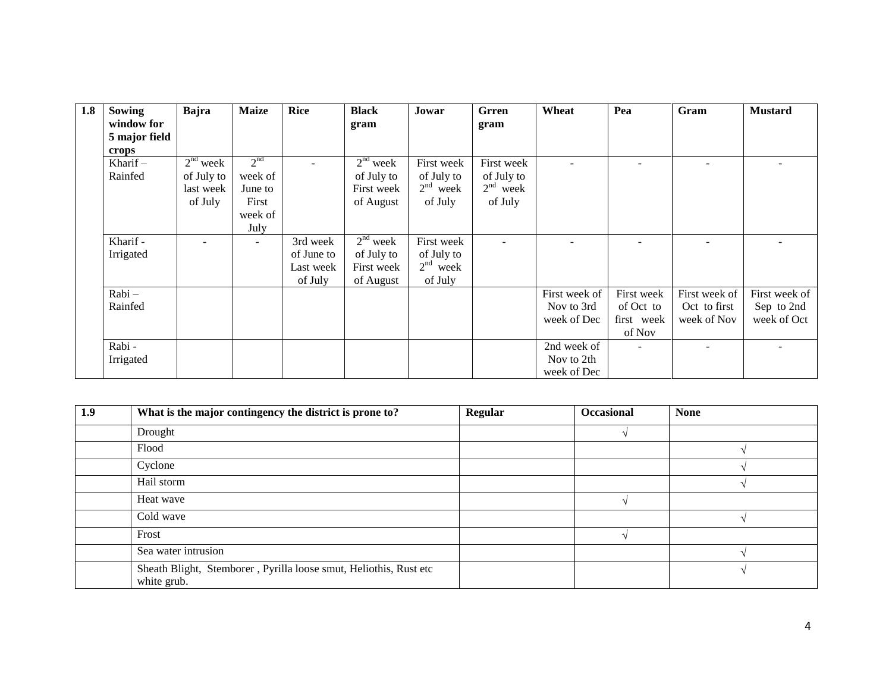| 1.8 | Sowing        | Bajra      | <b>Maize</b>    | <b>Rice</b> | <b>Black</b> | Jowar      | Grren      | Wheat         | Pea        | Gram          | <b>Mustard</b> |
|-----|---------------|------------|-----------------|-------------|--------------|------------|------------|---------------|------------|---------------|----------------|
|     | window for    |            |                 |             | gram         |            | gram       |               |            |               |                |
|     | 5 major field |            |                 |             |              |            |            |               |            |               |                |
|     | crops         |            |                 |             |              |            |            |               |            |               |                |
|     | Kharif $-$    | $2nd$ week | 2 <sup>nd</sup> |             | $2nd$ week   | First week | First week |               |            |               |                |
|     | Rainfed       | of July to | week of         |             | of July to   | of July to | of July to |               |            |               |                |
|     |               | last week  | June to         |             | First week   | $2nd$ week | $2nd$ week |               |            |               |                |
|     |               | of July    | First           |             | of August    | of July    | of July    |               |            |               |                |
|     |               |            | week of         |             |              |            |            |               |            |               |                |
|     |               |            | July            |             |              |            |            |               |            |               |                |
|     | Kharif -      |            |                 | 3rd week    | $2nd$ week   | First week |            |               |            |               |                |
|     | Irrigated     |            |                 | of June to  | of July to   | of July to |            |               |            |               |                |
|     |               |            |                 | Last week   | First week   | $2nd$ week |            |               |            |               |                |
|     |               |            |                 | of July     | of August    | of July    |            |               |            |               |                |
|     | Rabi-         |            |                 |             |              |            |            | First week of | First week | First week of | First week of  |
|     | Rainfed       |            |                 |             |              |            |            | Nov to 3rd    | of Oct to  | Oct to first  | Sep to 2nd     |
|     |               |            |                 |             |              |            |            | week of Dec   | first week | week of Nov   | week of Oct    |
|     |               |            |                 |             |              |            |            |               | of Nov     |               |                |
|     | Rabi -        |            |                 |             |              |            |            | 2nd week of   |            |               |                |
|     | Irrigated     |            |                 |             |              |            |            | Nov to 2th    |            |               |                |
|     |               |            |                 |             |              |            |            | week of Dec   |            |               |                |

| 1.9 | What is the major contingency the district is prone to?                          | <b>Regular</b> | <b>Occasional</b> | <b>None</b> |
|-----|----------------------------------------------------------------------------------|----------------|-------------------|-------------|
|     | Drought                                                                          |                |                   |             |
|     | Flood                                                                            |                |                   |             |
|     | Cyclone                                                                          |                |                   |             |
|     | Hail storm                                                                       |                |                   |             |
|     | Heat wave                                                                        |                |                   |             |
|     | Cold wave                                                                        |                |                   |             |
|     | Frost                                                                            |                |                   |             |
|     | Sea water intrusion                                                              |                |                   |             |
|     | Sheath Blight, Stemborer, Pyrilla loose smut, Heliothis, Rust etc<br>white grub. |                |                   |             |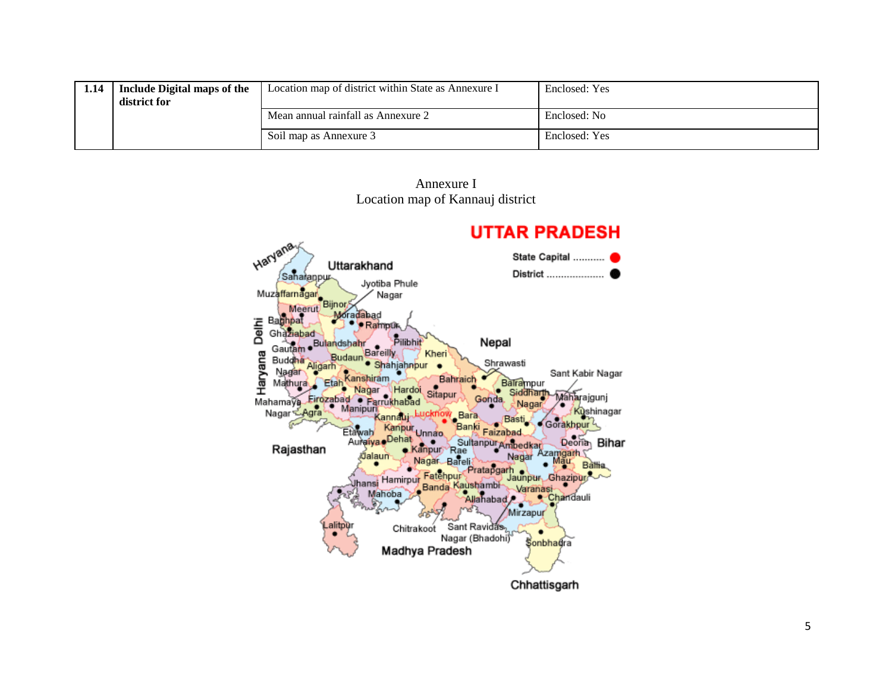| 1.14 | Include Digital maps of the<br>district for | Location map of district within State as Annexure I | Enclosed: Yes |
|------|---------------------------------------------|-----------------------------------------------------|---------------|
|      |                                             | Mean annual rainfall as Annexure 2                  | Enclosed: No  |
|      |                                             | Soil map as Annexure 3                              | Enclosed: Yes |

Annexure I Location map of Kannauj district

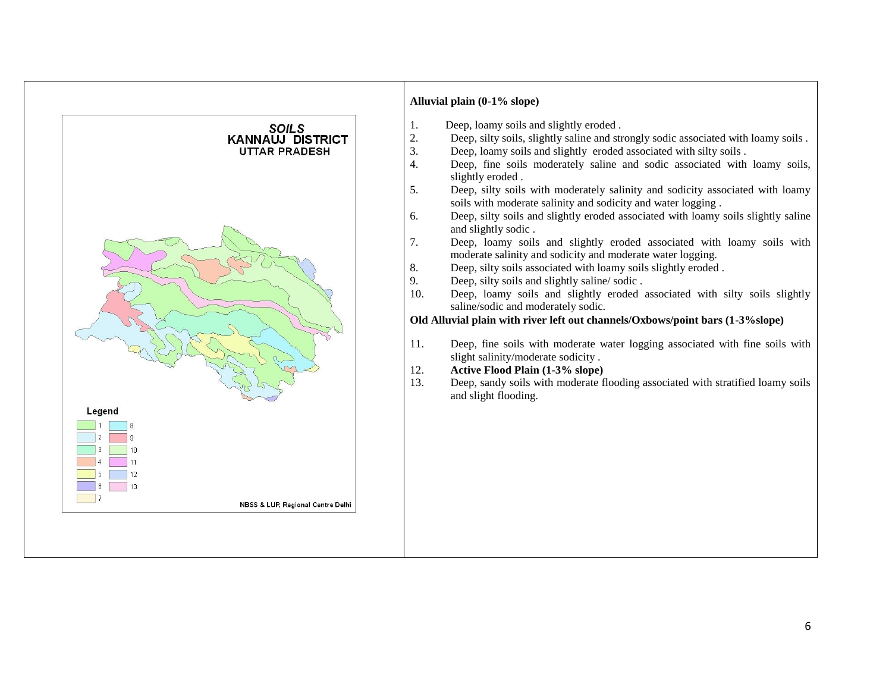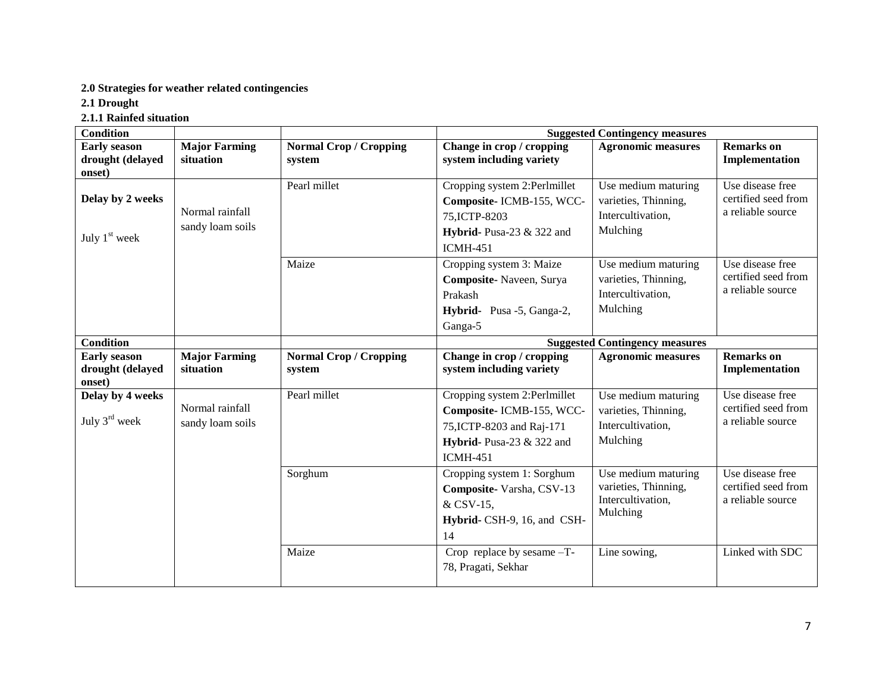# **2.0 Strategies for weather related contingencies**

**2.1 Drought** 

**2.1.1 Rainfed situation**

| <b>Condition</b>                                  |                                     |                                         | <b>Suggested Contingency measures</b>                                                                                                   |                                                                              |                                                              |  |
|---------------------------------------------------|-------------------------------------|-----------------------------------------|-----------------------------------------------------------------------------------------------------------------------------------------|------------------------------------------------------------------------------|--------------------------------------------------------------|--|
| <b>Early season</b><br>drought (delayed<br>onset) | <b>Major Farming</b><br>situation   | <b>Normal Crop / Cropping</b><br>system | Change in crop / cropping<br>system including variety                                                                                   | <b>Agronomic measures</b>                                                    | <b>Remarks</b> on<br>Implementation                          |  |
| Delay by 2 weeks<br>July 1 <sup>st</sup> week     | Normal rainfall<br>sandy loam soils | Pearl millet                            | Cropping system 2:Perlmillet<br>Composite- ICMB-155, WCC-<br>75, ICTP-8203<br>Hybrid- Pusa-23 $&$ 322 and<br><b>ICMH-451</b>            | Use medium maturing<br>varieties, Thinning,<br>Intercultivation,<br>Mulching | Use disease free<br>certified seed from<br>a reliable source |  |
|                                                   |                                     | Maize                                   | Cropping system 3: Maize<br>Composite-Naveen, Surya<br>Prakash<br>Hybrid- Pusa -5, Ganga-2,<br>Ganga-5                                  | Use medium maturing<br>varieties, Thinning,<br>Intercultivation,<br>Mulching | Use disease free<br>certified seed from<br>a reliable source |  |
| <b>Condition</b>                                  |                                     |                                         |                                                                                                                                         | <b>Suggested Contingency measures</b>                                        |                                                              |  |
| <b>Early season</b><br>drought (delayed<br>onset) | <b>Major Farming</b><br>situation   | <b>Normal Crop / Cropping</b><br>system | Change in crop / cropping<br>system including variety                                                                                   | <b>Agronomic measures</b>                                                    | <b>Remarks</b> on<br>Implementation                          |  |
| Delay by 4 weeks<br>July $3^{\text{rd}}$ week     | Normal rainfall<br>sandy loam soils | Pearl millet                            | Cropping system 2:Perlmillet<br>Composite- ICMB-155, WCC-<br>75, ICTP-8203 and Raj-171<br>Hybrid-Pusa-23 $&$ 322 and<br><b>ICMH-451</b> | Use medium maturing<br>varieties, Thinning,<br>Intercultivation,<br>Mulching | Use disease free<br>certified seed from<br>a reliable source |  |
|                                                   |                                     | Sorghum                                 | Cropping system 1: Sorghum<br>Composite-Varsha, CSV-13<br>& CSV-15,<br>Hybrid- CSH-9, 16, and CSH-<br>14                                | Use medium maturing<br>varieties, Thinning,<br>Intercultivation,<br>Mulching | Use disease free<br>certified seed from<br>a reliable source |  |
|                                                   |                                     | Maize                                   | Crop replace by sesame $-T$ -<br>78, Pragati, Sekhar                                                                                    | Line sowing,                                                                 | Linked with SDC                                              |  |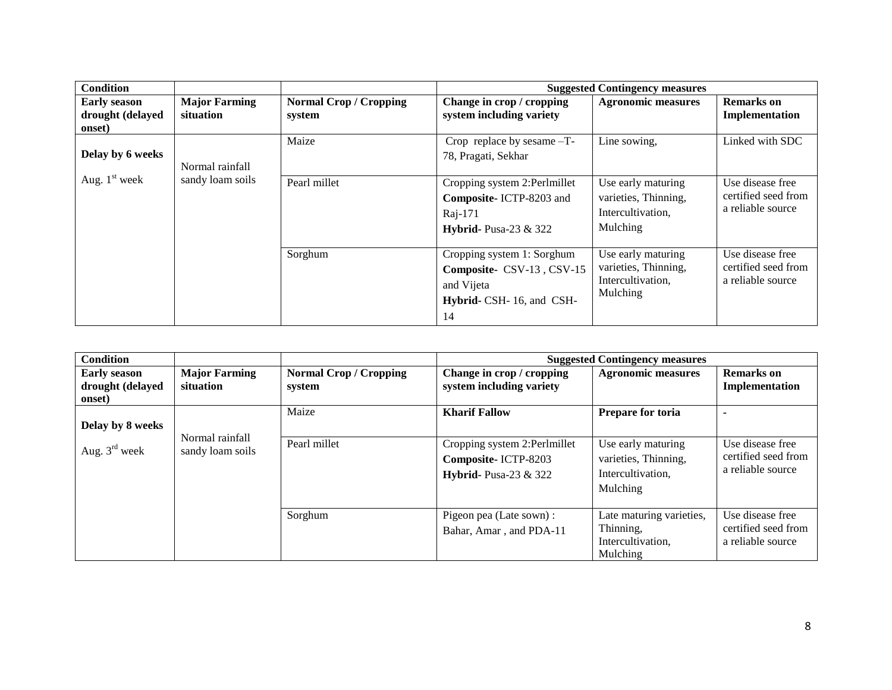| <b>Condition</b>                                  |                                   |                                         |                                                                                                         | <b>Suggested Contingency measures</b>                                       |                                                              |
|---------------------------------------------------|-----------------------------------|-----------------------------------------|---------------------------------------------------------------------------------------------------------|-----------------------------------------------------------------------------|--------------------------------------------------------------|
| <b>Early season</b><br>drought (delayed<br>onset) | <b>Major Farming</b><br>situation | <b>Normal Crop / Cropping</b><br>system | Change in crop / cropping<br>system including variety                                                   | <b>Agronomic measures</b>                                                   | <b>Remarks</b> on<br>Implementation                          |
| Delay by 6 weeks                                  | Normal rainfall                   | Maize                                   | Crop replace by sesame -T-<br>78, Pragati, Sekhar                                                       | Line sowing.                                                                | Linked with SDC                                              |
| Aug. $1st$ week                                   | sandy loam soils                  | Pearl millet                            | Cropping system 2:Perlmillet<br>Composite-ICTP-8203 and<br>Raj-171<br><b>Hybrid-</b> Pusa-23 & 322      | Use early maturing<br>varieties, Thinning,<br>Intercultivation,<br>Mulching | Use disease free<br>certified seed from<br>a reliable source |
|                                                   |                                   | Sorghum                                 | Cropping system 1: Sorghum<br>Composite- CSV-13, CSV-15<br>and Vijeta<br>Hybrid- CSH-16, and CSH-<br>14 | Use early maturing<br>varieties, Thinning,<br>Intercultivation,<br>Mulching | Use disease free<br>certified seed from<br>a reliable source |

| <b>Condition</b>                                  |                                     |                                         |                                                                                     | <b>Suggested Contingency measures</b>                                       |                                                              |
|---------------------------------------------------|-------------------------------------|-----------------------------------------|-------------------------------------------------------------------------------------|-----------------------------------------------------------------------------|--------------------------------------------------------------|
| <b>Early season</b><br>drought (delayed<br>onset) | <b>Major Farming</b><br>situation   | <b>Normal Crop / Cropping</b><br>system | Change in crop / cropping<br>system including variety                               | <b>Agronomic measures</b>                                                   | Remarks on<br>Implementation                                 |
|                                                   |                                     | Maize                                   | <b>Kharif Fallow</b>                                                                | Prepare for toria                                                           |                                                              |
| Delay by 8 weeks                                  |                                     |                                         |                                                                                     |                                                                             |                                                              |
| Aug. $3rd$ week                                   | Normal rainfall<br>sandy loam soils | Pearl millet                            | Cropping system 2:Perlmillet<br>Composite-ICTP-8203<br><b>Hybrid-</b> Pusa-23 & 322 | Use early maturing<br>varieties, Thinning,<br>Intercultivation.<br>Mulching | Use disease free<br>certified seed from<br>a reliable source |
|                                                   |                                     | Sorghum                                 | Pigeon pea (Late sown) :<br>Bahar, Amar, and PDA-11                                 | Late maturing varieties,<br>Thinning.<br>Intercultivation,<br>Mulching      | Use disease free<br>certified seed from<br>a reliable source |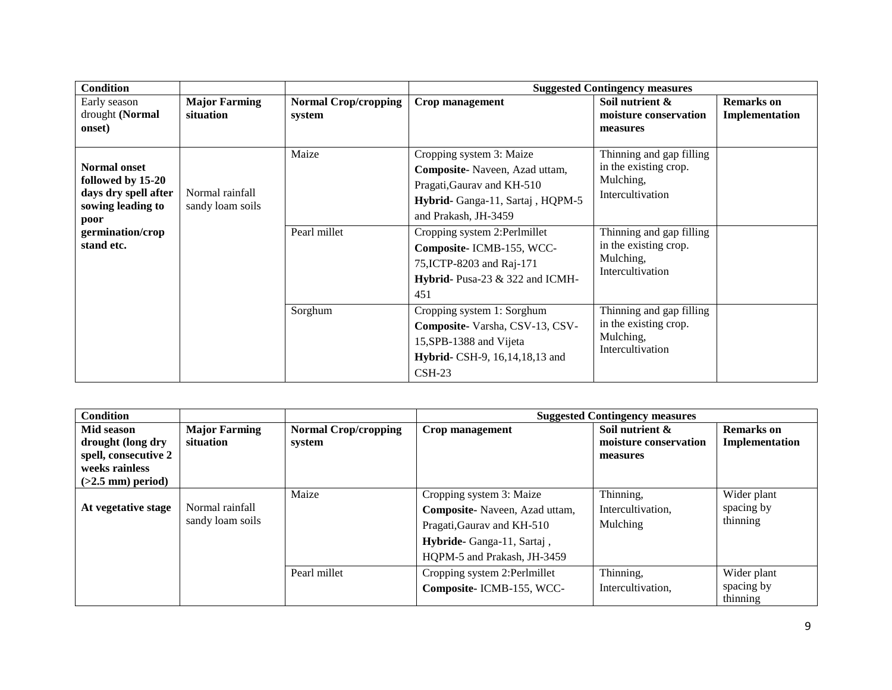| <b>Condition</b>                                                                                                                |                                     |                                       | <b>Suggested Contingency measures</b>                                                                                                                                                                                                                                                  |                                                                                                                                                                          |                                     |  |
|---------------------------------------------------------------------------------------------------------------------------------|-------------------------------------|---------------------------------------|----------------------------------------------------------------------------------------------------------------------------------------------------------------------------------------------------------------------------------------------------------------------------------------|--------------------------------------------------------------------------------------------------------------------------------------------------------------------------|-------------------------------------|--|
| Early season<br>drought (Normal<br>onset)                                                                                       | <b>Major Farming</b><br>situation   | <b>Normal Crop/cropping</b><br>system | Crop management                                                                                                                                                                                                                                                                        | Soil nutrient &<br>moisture conservation<br>measures                                                                                                                     | <b>Remarks</b> on<br>Implementation |  |
| <b>Normal onset</b><br>followed by 15-20<br>days dry spell after<br>sowing leading to<br>poor<br>germination/crop<br>stand etc. | Normal rainfall<br>sandy loam soils | Maize<br>Pearl millet                 | Cropping system 3: Maize<br>Composite-Naveen, Azad uttam,<br>Pragati, Gaurav and KH-510<br>Hybrid- Ganga-11, Sartaj, HQPM-5<br>and Prakash, JH-3459<br>Cropping system 2:Perlmillet<br>Composite-ICMB-155, WCC-<br>75, ICTP-8203 and Raj-171<br>Hybrid- Pusa-23 & 322 and ICMH-<br>451 | Thinning and gap filling<br>in the existing crop.<br>Mulching,<br>Intercultivation<br>Thinning and gap filling<br>in the existing crop.<br>Mulching,<br>Intercultivation |                                     |  |
|                                                                                                                                 |                                     | Sorghum                               | Cropping system 1: Sorghum<br>Composite-Varsha, CSV-13, CSV-<br>15, SPB-1388 and Vijeta<br>Hybrid- CSH-9, 16, 14, 18, 13 and<br>$CSH-23$                                                                                                                                               | Thinning and gap filling<br>in the existing crop.<br>Mulching.<br>Intercultivation                                                                                       |                                     |  |

| <b>Condition</b>     |                      |                             |                               | <b>Suggested Contingency measures</b> |                        |
|----------------------|----------------------|-----------------------------|-------------------------------|---------------------------------------|------------------------|
| Mid season           | <b>Major Farming</b> | <b>Normal Crop/cropping</b> | Crop management               | Soil nutrient &                       | <b>Remarks</b> on      |
| drought (long dry    | situation            | system                      |                               | moisture conservation                 | Implementation         |
| spell, consecutive 2 |                      |                             |                               | measures                              |                        |
| weeks rainless       |                      |                             |                               |                                       |                        |
| $(>2.5$ mm) period)  |                      |                             |                               |                                       |                        |
|                      |                      | Maize                       | Cropping system 3: Maize      | Thinning,                             | Wider plant            |
| At vegetative stage  | Normal rainfall      |                             | Composite-Naveen, Azad uttam, | Intercultivation,                     | spacing by             |
|                      | sandy loam soils     |                             | Pragati, Gaurav and KH-510    | Mulching                              | thinning               |
|                      |                      |                             | Hybride-Ganga-11, Sartaj,     |                                       |                        |
|                      |                      |                             | HQPM-5 and Prakash, JH-3459   |                                       |                        |
|                      |                      | Pearl millet                | Cropping system 2:Perlmillet  | Thinning,                             | Wider plant            |
|                      |                      |                             | Composite-ICMB-155, WCC-      | Intercultivation.                     | spacing by<br>thinning |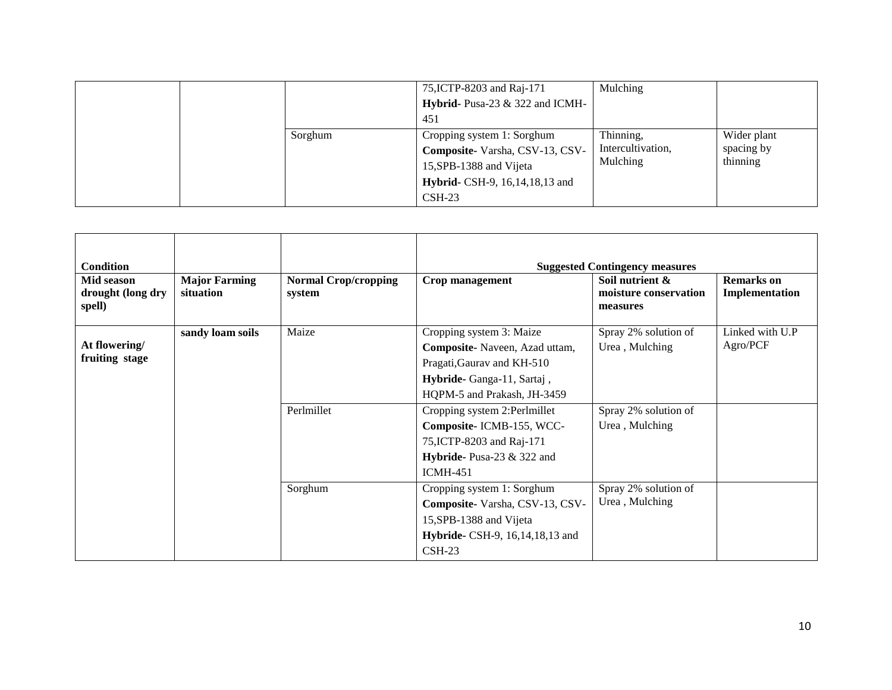|         | 75, ICTP-8203 and Raj-171<br>Hybrid- Pusa-23 & 322 and ICMH-<br>451                                                                             | Mulching                                   |                                       |
|---------|-------------------------------------------------------------------------------------------------------------------------------------------------|--------------------------------------------|---------------------------------------|
| Sorghum | Cropping system 1: Sorghum<br>Composite-Varsha, CSV-13, CSV-<br>15, SPB-1388 and Vijeta<br>Hybrid- CSH-9, 16, 14, 18, 13 and<br>$\text{CSH-23}$ | Thinning,<br>Intercultivation,<br>Mulching | Wider plant<br>spacing by<br>thinning |

| <b>Condition</b><br>Mid season<br>drought (long dry<br>spell) | <b>Major Farming</b><br>situation | <b>Normal Crop/cropping</b><br>system | Crop management                                                                                                                                                                                                                                                                      | <b>Suggested Contingency measures</b><br>Soil nutrient &<br>moisture conservation<br>measures | <b>Remarks</b> on<br>Implementation |
|---------------------------------------------------------------|-----------------------------------|---------------------------------------|--------------------------------------------------------------------------------------------------------------------------------------------------------------------------------------------------------------------------------------------------------------------------------------|-----------------------------------------------------------------------------------------------|-------------------------------------|
| At flowering/<br>fruiting stage                               | sandy loam soils                  | Maize<br>Perlmillet                   | Cropping system 3: Maize<br>Composite-Naveen, Azad uttam,<br>Pragati, Gaurav and KH-510<br>Hybride-Ganga-11, Sartaj,<br>HQPM-5 and Prakash, JH-3459<br>Cropping system 2:Perlmillet<br>Composite-ICMB-155, WCC-<br>75, ICTP-8203 and Raj-171<br><b>Hybride-</b> Pusa-23 $\&$ 322 and | Spray 2% solution of<br>Urea, Mulching<br>Spray 2% solution of<br>Urea, Mulching              | Linked with U.P<br>Agro/PCF         |
|                                                               |                                   | Sorghum                               | <b>ICMH-451</b><br>Cropping system 1: Sorghum<br>Composite-Varsha, CSV-13, CSV-<br>15, SPB-1388 and Vijeta<br>Hybride- CSH-9, 16, 14, 18, 13 and<br>$CSH-23$                                                                                                                         | Spray 2% solution of<br>Urea, Mulching                                                        |                                     |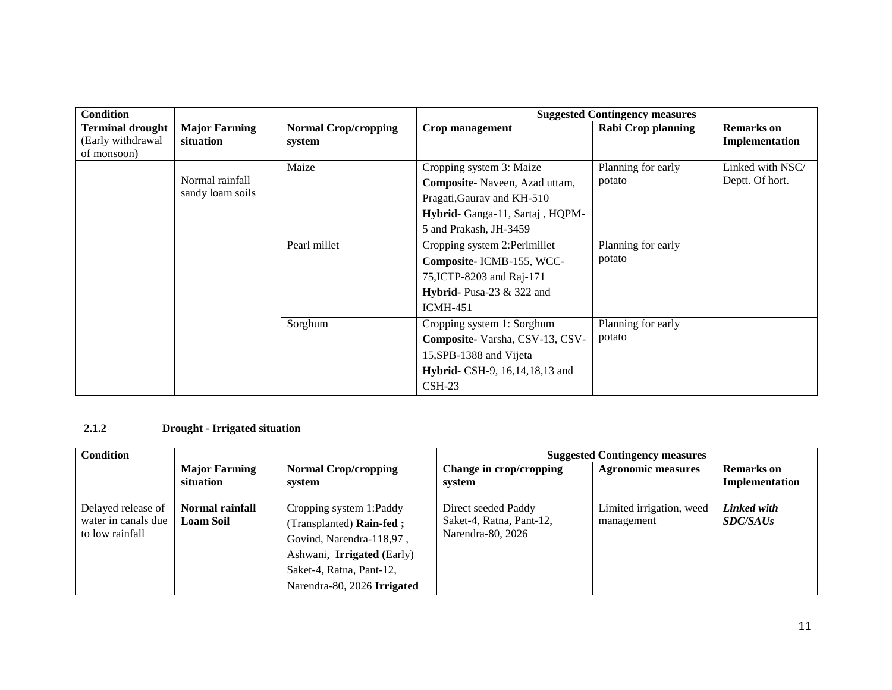| <b>Condition</b>                                            |                                     |                                       | <b>Suggested Contingency measures</b>                                                                                                                |                              |                                     |  |
|-------------------------------------------------------------|-------------------------------------|---------------------------------------|------------------------------------------------------------------------------------------------------------------------------------------------------|------------------------------|-------------------------------------|--|
| <b>Terminal drought</b><br>(Early withdrawal<br>of monsoon) | <b>Major Farming</b><br>situation   | <b>Normal Crop/cropping</b><br>system | Crop management                                                                                                                                      | <b>Rabi Crop planning</b>    | <b>Remarks</b> on<br>Implementation |  |
|                                                             | Normal rainfall<br>sandy loam soils | Maize                                 | Cropping system 3: Maize<br>Composite-Naveen, Azad uttam,<br>Pragati, Gaurav and KH-510<br>Hybrid- Ganga-11, Sartaj, HQPM-<br>5 and Prakash, JH-3459 | Planning for early<br>potato | Linked with NSC/<br>Deptt. Of hort. |  |
|                                                             |                                     | Pearl millet                          | Cropping system 2:Perlmillet<br>Composite-ICMB-155, WCC-<br>75, ICTP-8203 and Raj-171<br>Hybrid-Pusa-23 $&$ 322 and<br><b>ICMH-451</b>               | Planning for early<br>potato |                                     |  |
|                                                             |                                     | Sorghum                               | Cropping system 1: Sorghum<br>Composite-Varsha, CSV-13, CSV-<br>15, SPB-1388 and Vijeta<br><b>Hybrid-</b> CSH-9, 16, 14, 18, 13 and<br>$CSH-23$      | Planning for early<br>potato |                                     |  |

# **2.1.2 Drought - Irrigated situation**

| Condition                                                    |                                     |                                                                                                                                                                                 |                                                                      | <b>Suggested Contingency measures</b>  |                                |
|--------------------------------------------------------------|-------------------------------------|---------------------------------------------------------------------------------------------------------------------------------------------------------------------------------|----------------------------------------------------------------------|----------------------------------------|--------------------------------|
|                                                              | <b>Major Farming</b><br>situation   | <b>Normal Crop/cropping</b><br>system                                                                                                                                           | Change in crop/cropping<br>system                                    | <b>Agronomic measures</b>              | Remarks on<br>Implementation   |
| Delayed release of<br>water in canals due<br>to low rainfall | Normal rainfall<br><b>Loam Soil</b> | Cropping system 1:Paddy<br>(Transplanted) Rain-fed;<br>Govind, Narendra-118,97,<br>Ashwani, <b>Irrigated</b> (Early)<br>Saket-4, Ratna, Pant-12,<br>Narendra-80, 2026 Irrigated | Direct seeded Paddy<br>Saket-4, Ratna, Pant-12,<br>Narendra-80, 2026 | Limited irrigation, weed<br>management | Linked with<br><i>SDC/SAUs</i> |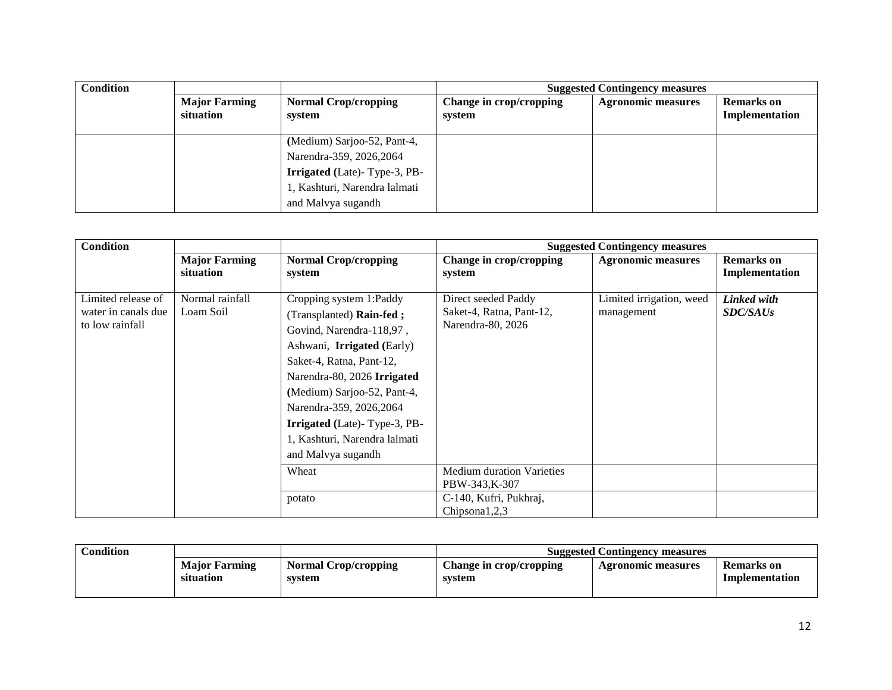| <b>Condition</b> |                                   |                                       | <b>Suggested Contingency measures</b> |                           |                              |  |
|------------------|-----------------------------------|---------------------------------------|---------------------------------------|---------------------------|------------------------------|--|
|                  | <b>Major Farming</b><br>situation | <b>Normal Crop/cropping</b><br>system | Change in crop/cropping<br>system     | <b>Agronomic measures</b> | Remarks on<br>Implementation |  |
|                  |                                   | (Medium) Sarjoo-52, Pant-4,           |                                       |                           |                              |  |
|                  |                                   | Narendra-359, 2026, 2064              |                                       |                           |                              |  |
|                  |                                   | <b>Irrigated</b> (Late)-Type-3, PB-   |                                       |                           |                              |  |
|                  |                                   | 1, Kashturi, Narendra lalmati         |                                       |                           |                              |  |
|                  |                                   | and Malvya sugandh                    |                                       |                           |                              |  |

| <b>Condition</b>                                             |                                   |                                                                                                                                                                                                                                                                                                                                   |                                                                      | <b>Suggested Contingency measures</b>  |                                     |
|--------------------------------------------------------------|-----------------------------------|-----------------------------------------------------------------------------------------------------------------------------------------------------------------------------------------------------------------------------------------------------------------------------------------------------------------------------------|----------------------------------------------------------------------|----------------------------------------|-------------------------------------|
|                                                              | <b>Major Farming</b><br>situation | <b>Normal Crop/cropping</b><br>system                                                                                                                                                                                                                                                                                             | Change in crop/cropping<br>system                                    | <b>Agronomic measures</b>              | <b>Remarks</b> on<br>Implementation |
| Limited release of<br>water in canals due<br>to low rainfall | Normal rainfall<br>Loam Soil      | Cropping system 1:Paddy<br>(Transplanted) Rain-fed;<br>Govind, Narendra-118,97,<br>Ashwani, Irrigated (Early)<br>Saket-4, Ratna, Pant-12,<br>Narendra-80, 2026 Irrigated<br>(Medium) Sarjoo-52, Pant-4,<br>Narendra-359, 2026, 2064<br><b>Irrigated</b> (Late)-Type-3, PB-<br>1, Kashturi, Narendra lalmati<br>and Malvya sugandh | Direct seeded Paddy<br>Saket-4, Ratna, Pant-12,<br>Narendra-80, 2026 | Limited irrigation, weed<br>management | Linked with<br><b>SDC/SAUs</b>      |
|                                                              |                                   | Wheat                                                                                                                                                                                                                                                                                                                             | <b>Medium duration Varieties</b><br>PBW-343, K-307                   |                                        |                                     |
|                                                              |                                   | potato                                                                                                                                                                                                                                                                                                                            | C-140, Kufri, Pukhraj,<br>Chipsona1,2,3                              |                                        |                                     |

| Condition |                                   |                                       | <b>Suggested Contingency measures</b> |                    |                              |  |
|-----------|-----------------------------------|---------------------------------------|---------------------------------------|--------------------|------------------------------|--|
|           | <b>Major Farming</b><br>situation | <b>Normal Crop/cropping</b><br>system | Change in crop/cropping<br>svstem     | Agronomic measures | Remarks on<br>Implementation |  |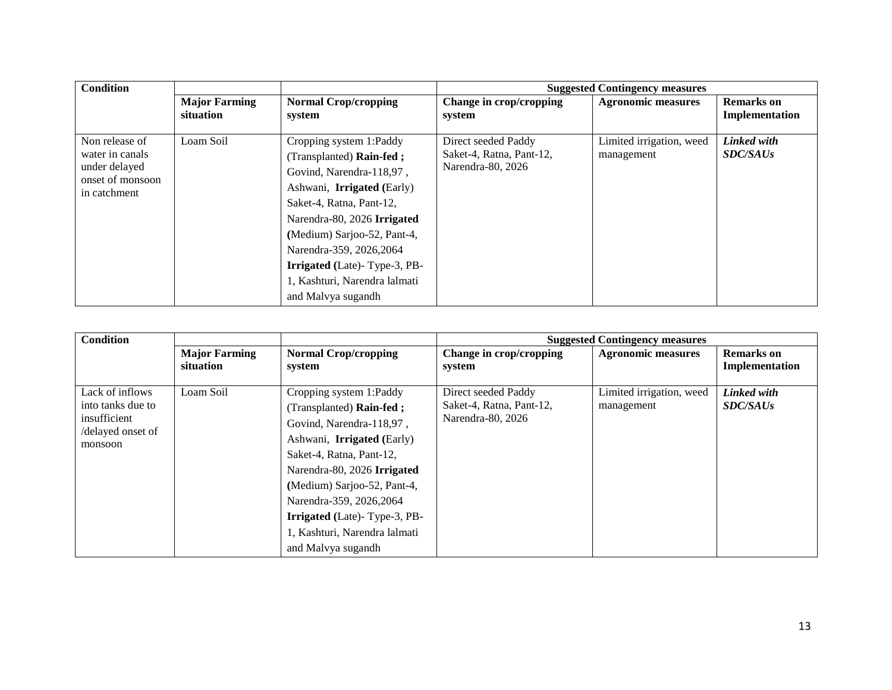| <b>Condition</b>                                                                       |                      |                                                                                                                                                                                                                                                                            |                                                                      | <b>Suggested Contingency measures</b>  |                                |
|----------------------------------------------------------------------------------------|----------------------|----------------------------------------------------------------------------------------------------------------------------------------------------------------------------------------------------------------------------------------------------------------------------|----------------------------------------------------------------------|----------------------------------------|--------------------------------|
|                                                                                        | <b>Major Farming</b> | <b>Normal Crop/cropping</b>                                                                                                                                                                                                                                                | Change in crop/cropping                                              | <b>Agronomic measures</b>              | <b>Remarks</b> on              |
|                                                                                        | situation            | system                                                                                                                                                                                                                                                                     | system                                                               |                                        | Implementation                 |
| Non release of<br>water in canals<br>under delayed<br>onset of monsoon<br>in catchment | Loam Soil            | Cropping system 1:Paddy<br>(Transplanted) Rain-fed;<br>Govind, Narendra-118,97,<br>Ashwani, Irrigated (Early)<br>Saket-4, Ratna, Pant-12,<br>Narendra-80, 2026 Irrigated<br>(Medium) Sarjoo-52, Pant-4,<br>Narendra-359, 2026, 2064<br><b>Irrigated</b> (Late)-Type-3, PB- | Direct seeded Paddy<br>Saket-4, Ratna, Pant-12,<br>Narendra-80, 2026 | Limited irrigation, weed<br>management | Linked with<br><b>SDC/SAUs</b> |
|                                                                                        |                      | 1, Kashturi, Narendra lalmati                                                                                                                                                                                                                                              |                                                                      |                                        |                                |
|                                                                                        |                      | and Malvya sugandh                                                                                                                                                                                                                                                         |                                                                      |                                        |                                |

| <b>Condition</b>                                                                     |                                   |                                                                                                                                                                                                                                                                                                                                   |                                                                      | <b>Suggested Contingency measures</b>  |                                     |
|--------------------------------------------------------------------------------------|-----------------------------------|-----------------------------------------------------------------------------------------------------------------------------------------------------------------------------------------------------------------------------------------------------------------------------------------------------------------------------------|----------------------------------------------------------------------|----------------------------------------|-------------------------------------|
|                                                                                      | <b>Major Farming</b><br>situation | <b>Normal Crop/cropping</b><br>system                                                                                                                                                                                                                                                                                             | Change in crop/cropping<br>system                                    | <b>Agronomic measures</b>              | <b>Remarks</b> on<br>Implementation |
| Lack of inflows<br>into tanks due to<br>insufficient<br>/delayed onset of<br>monsoon | Loam Soil                         | Cropping system 1:Paddy<br>(Transplanted) Rain-fed;<br>Govind, Narendra-118,97,<br>Ashwani, Irrigated (Early)<br>Saket-4, Ratna, Pant-12,<br>Narendra-80, 2026 Irrigated<br>(Medium) Sarjoo-52, Pant-4,<br>Narendra-359, 2026, 2064<br><b>Irrigated</b> (Late)-Type-3, PB-<br>1, Kashturi, Narendra lalmati<br>and Malvya sugandh | Direct seeded Paddy<br>Saket-4, Ratna, Pant-12,<br>Narendra-80, 2026 | Limited irrigation, weed<br>management | Linked with<br><b>SDC/SAUs</b>      |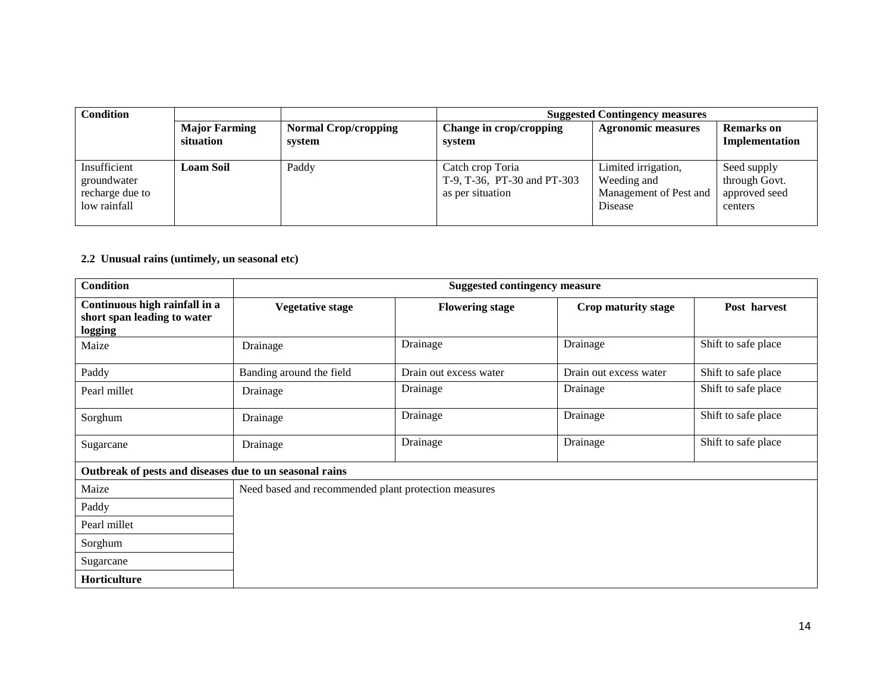| <b>Condition</b>                                               |                                   |                                       | <b>Suggested Contingency measures</b>                               |                                                                         |                                                          |
|----------------------------------------------------------------|-----------------------------------|---------------------------------------|---------------------------------------------------------------------|-------------------------------------------------------------------------|----------------------------------------------------------|
|                                                                | <b>Major Farming</b><br>situation | <b>Normal Crop/cropping</b><br>system | Change in crop/cropping<br>system                                   | <b>Agronomic measures</b>                                               | <b>Remarks</b> on<br>Implementation                      |
| Insufficient<br>groundwater<br>recharge due to<br>low rainfall | <b>Loam Soil</b>                  | Paddy                                 | Catch crop Toria<br>T-9, T-36, PT-30 and PT-303<br>as per situation | Limited irrigation,<br>Weeding and<br>Management of Pest and<br>Disease | Seed supply<br>through Govt.<br>approved seed<br>centers |

#### **2.2 Unusual rains (untimely, un seasonal etc)**

| <b>Condition</b>                                                        | <b>Suggested contingency measure</b>                 |                        |                        |                     |  |
|-------------------------------------------------------------------------|------------------------------------------------------|------------------------|------------------------|---------------------|--|
| Continuous high rainfall in a<br>short span leading to water<br>logging | <b>Vegetative stage</b>                              | <b>Flowering stage</b> | Crop maturity stage    | Post harvest        |  |
| Maize                                                                   | Drainage                                             | Drainage               | Drainage               | Shift to safe place |  |
| Paddy                                                                   | Banding around the field                             | Drain out excess water | Drain out excess water | Shift to safe place |  |
| Pearl millet                                                            | Drainage                                             | Drainage               | Drainage               | Shift to safe place |  |
| Sorghum                                                                 | Drainage                                             | Drainage               | Drainage               | Shift to safe place |  |
| Sugarcane                                                               | Drainage                                             | Drainage               | Drainage               | Shift to safe place |  |
| Outbreak of pests and diseases due to un seasonal rains                 |                                                      |                        |                        |                     |  |
| Maize                                                                   | Need based and recommended plant protection measures |                        |                        |                     |  |
| Paddy                                                                   |                                                      |                        |                        |                     |  |
| Pearl millet                                                            |                                                      |                        |                        |                     |  |
| Sorghum                                                                 |                                                      |                        |                        |                     |  |
| Sugarcane                                                               |                                                      |                        |                        |                     |  |
| Horticulture                                                            |                                                      |                        |                        |                     |  |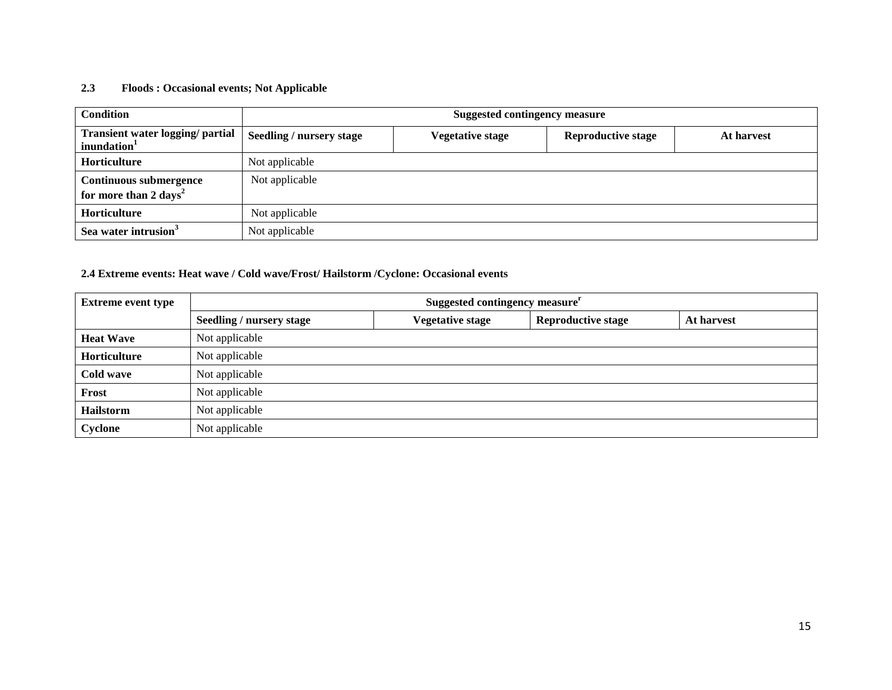## **2.3 Floods : Occasional events; Not Applicable**

| <b>Condition</b>                                                   | <b>Suggested contingency measure</b> |                         |                           |            |  |
|--------------------------------------------------------------------|--------------------------------------|-------------------------|---------------------------|------------|--|
| Transient water logging/ partial<br>inundation <sup>1</sup>        | <b>Seedling / nursery stage</b>      | <b>Vegetative stage</b> | <b>Reproductive stage</b> | At harvest |  |
| <b>Horticulture</b>                                                | Not applicable                       |                         |                           |            |  |
| <b>Continuous submergence</b><br>for more than 2 days <sup>2</sup> | Not applicable                       |                         |                           |            |  |
| Horticulture                                                       | Not applicable                       |                         |                           |            |  |
| Sea water intrusion <sup>3</sup>                                   | Not applicable                       |                         |                           |            |  |

# **2.4 Extreme events: Heat wave / Cold wave/Frost/ Hailstorm /Cyclone: Occasional events**

| <b>Extreme event type</b> | Suggested contingency measure <sup>r</sup> |                         |                           |            |  |  |
|---------------------------|--------------------------------------------|-------------------------|---------------------------|------------|--|--|
|                           | Seedling / nursery stage                   | <b>Vegetative stage</b> | <b>Reproductive stage</b> | At harvest |  |  |
| <b>Heat Wave</b>          | Not applicable                             |                         |                           |            |  |  |
| Horticulture              | Not applicable                             |                         |                           |            |  |  |
| Cold wave                 | Not applicable                             |                         |                           |            |  |  |
| Frost                     | Not applicable                             |                         |                           |            |  |  |
| <b>Hailstorm</b>          | Not applicable                             |                         |                           |            |  |  |
| Cyclone                   | Not applicable                             |                         |                           |            |  |  |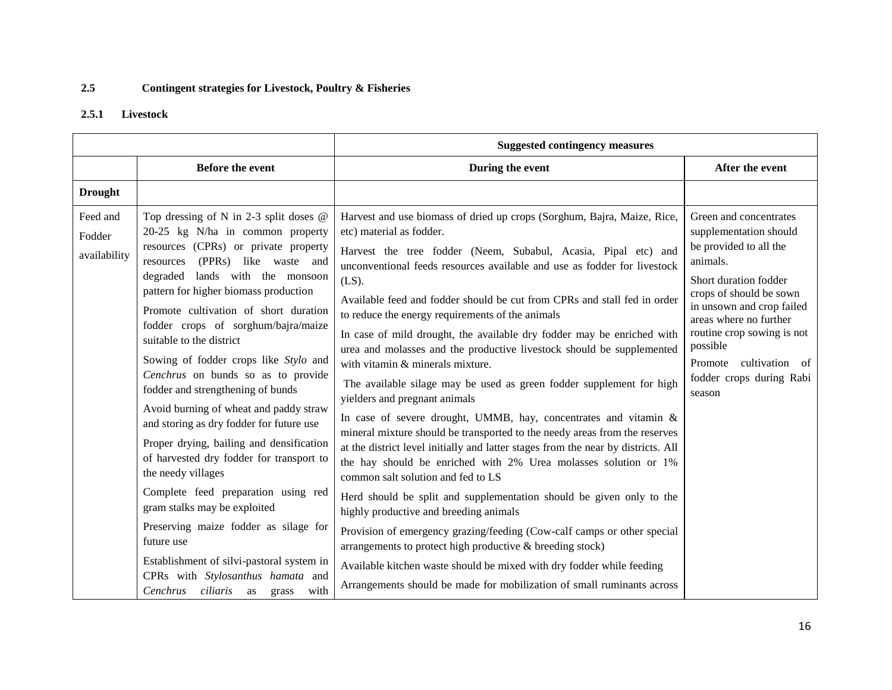# **2.5 Contingent strategies for Livestock, Poultry & Fisheries**

# **2.5.1 Livestock**

|                                    |                                                                                                                                                                                                                                                                                                                                                                                                                                                                                                                                                                                                                                                                                                                                                                                                                                                                                                                                     | <b>Suggested contingency measures</b>                                                                                                                                                                                                                                                                                                                                                                                                                                                                                                                                                                                                                                                                                                                                                                                                                                                                                                                                                                                                                                                                                                                                                                                                                                                                                                                                                                                                                      |                                                                                                                                                                                                                                                                                                                |
|------------------------------------|-------------------------------------------------------------------------------------------------------------------------------------------------------------------------------------------------------------------------------------------------------------------------------------------------------------------------------------------------------------------------------------------------------------------------------------------------------------------------------------------------------------------------------------------------------------------------------------------------------------------------------------------------------------------------------------------------------------------------------------------------------------------------------------------------------------------------------------------------------------------------------------------------------------------------------------|------------------------------------------------------------------------------------------------------------------------------------------------------------------------------------------------------------------------------------------------------------------------------------------------------------------------------------------------------------------------------------------------------------------------------------------------------------------------------------------------------------------------------------------------------------------------------------------------------------------------------------------------------------------------------------------------------------------------------------------------------------------------------------------------------------------------------------------------------------------------------------------------------------------------------------------------------------------------------------------------------------------------------------------------------------------------------------------------------------------------------------------------------------------------------------------------------------------------------------------------------------------------------------------------------------------------------------------------------------------------------------------------------------------------------------------------------------|----------------------------------------------------------------------------------------------------------------------------------------------------------------------------------------------------------------------------------------------------------------------------------------------------------------|
|                                    | <b>Before the event</b>                                                                                                                                                                                                                                                                                                                                                                                                                                                                                                                                                                                                                                                                                                                                                                                                                                                                                                             | During the event                                                                                                                                                                                                                                                                                                                                                                                                                                                                                                                                                                                                                                                                                                                                                                                                                                                                                                                                                                                                                                                                                                                                                                                                                                                                                                                                                                                                                                           | After the event                                                                                                                                                                                                                                                                                                |
| <b>Drought</b>                     |                                                                                                                                                                                                                                                                                                                                                                                                                                                                                                                                                                                                                                                                                                                                                                                                                                                                                                                                     |                                                                                                                                                                                                                                                                                                                                                                                                                                                                                                                                                                                                                                                                                                                                                                                                                                                                                                                                                                                                                                                                                                                                                                                                                                                                                                                                                                                                                                                            |                                                                                                                                                                                                                                                                                                                |
| Feed and<br>Fodder<br>availability | Top dressing of N in 2-3 split doses $@$<br>20-25 kg N/ha in common property<br>resources (CPRs) or private property<br>(PPRs) like waste and<br>resources<br>degraded lands with the monsoon<br>pattern for higher biomass production<br>Promote cultivation of short duration<br>fodder crops of sorghum/bajra/maize<br>suitable to the district<br>Sowing of fodder crops like Stylo and<br>Cenchrus on bunds so as to provide<br>fodder and strengthening of bunds<br>Avoid burning of wheat and paddy straw<br>and storing as dry fodder for future use<br>Proper drying, bailing and densification<br>of harvested dry fodder for transport to<br>the needy villages<br>Complete feed preparation using red<br>gram stalks may be exploited<br>Preserving maize fodder as silage for<br>future use<br>Establishment of silvi-pastoral system in<br>CPRs with Stylosanthus hamata and<br>Cenchrus ciliaris as<br>with<br>grass | Harvest and use biomass of dried up crops (Sorghum, Bajra, Maize, Rice,<br>etc) material as fodder.<br>Harvest the tree fodder (Neem, Subabul, Acasia, Pipal etc) and<br>unconventional feeds resources available and use as fodder for livestock<br>$(LS)$ .<br>Available feed and fodder should be cut from CPRs and stall fed in order<br>to reduce the energy requirements of the animals<br>In case of mild drought, the available dry fodder may be enriched with<br>urea and molasses and the productive livestock should be supplemented<br>with vitamin & minerals mixture.<br>The available silage may be used as green fodder supplement for high<br>yielders and pregnant animals<br>In case of severe drought, UMMB, hay, concentrates and vitamin &<br>mineral mixture should be transported to the needy areas from the reserves<br>at the district level initially and latter stages from the near by districts. All<br>the hay should be enriched with 2% Urea molasses solution or 1%<br>common salt solution and fed to LS<br>Herd should be split and supplementation should be given only to the<br>highly productive and breeding animals<br>Provision of emergency grazing/feeding (Cow-calf camps or other special<br>arrangements to protect high productive & breeding stock)<br>Available kitchen waste should be mixed with dry fodder while feeding<br>Arrangements should be made for mobilization of small ruminants across | Green and concentrates<br>supplementation should<br>be provided to all the<br>animals.<br>Short duration fodder<br>crops of should be sown<br>in unsown and crop failed<br>areas where no further<br>routine crop sowing is not<br>possible<br>cultivation of<br>Promote<br>fodder crops during Rabi<br>season |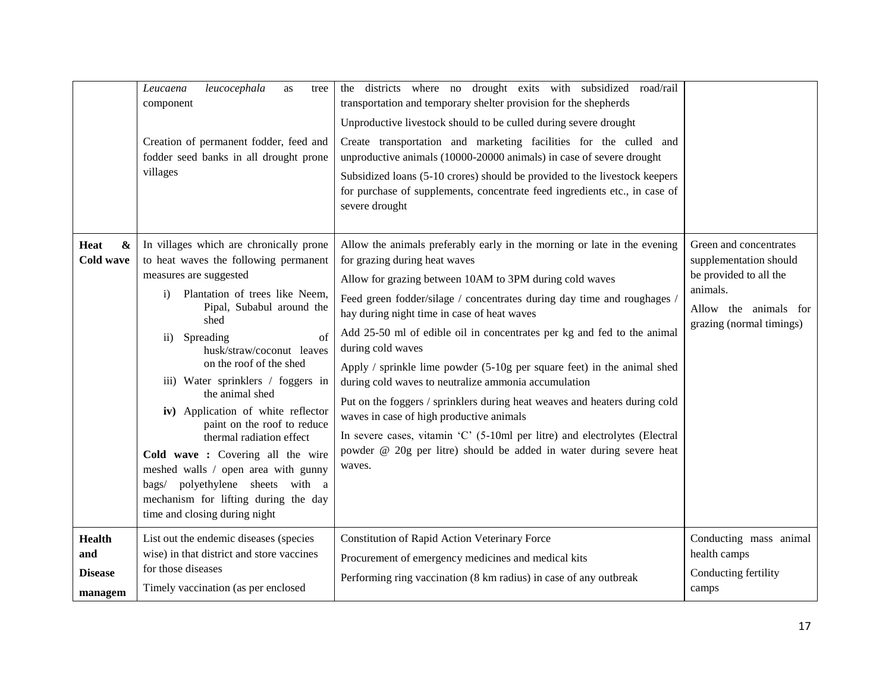|                                                   | leucocephala<br>Leucaena<br>as<br>tree<br>component<br>Creation of permanent fodder, feed and<br>fodder seed banks in all drought prone<br>villages                                                                                                                                                                                                                                                                                                                                                                                                                                                                                                 | the districts where no drought exits with subsidized road/rail<br>transportation and temporary shelter provision for the shepherds<br>Unproductive livestock should to be culled during severe drought<br>Create transportation and marketing facilities for the culled and<br>unproductive animals (10000-20000 animals) in case of severe drought<br>Subsidized loans (5-10 crores) should be provided to the livestock keepers<br>for purchase of supplements, concentrate feed ingredients etc., in case of<br>severe drought                                                                                                                                                                                                                                                                                                |                                                                                                                                             |
|---------------------------------------------------|-----------------------------------------------------------------------------------------------------------------------------------------------------------------------------------------------------------------------------------------------------------------------------------------------------------------------------------------------------------------------------------------------------------------------------------------------------------------------------------------------------------------------------------------------------------------------------------------------------------------------------------------------------|----------------------------------------------------------------------------------------------------------------------------------------------------------------------------------------------------------------------------------------------------------------------------------------------------------------------------------------------------------------------------------------------------------------------------------------------------------------------------------------------------------------------------------------------------------------------------------------------------------------------------------------------------------------------------------------------------------------------------------------------------------------------------------------------------------------------------------|---------------------------------------------------------------------------------------------------------------------------------------------|
| $\pmb{\&}$<br>Heat<br><b>Cold wave</b>            | In villages which are chronically prone<br>to heat waves the following permanent<br>measures are suggested<br>Plantation of trees like Neem,<br>$\mathbf{i}$<br>Pipal, Subabul around the<br>shed<br>of<br>Spreading<br>$\overline{11}$ )<br>husk/straw/coconut leaves<br>on the roof of the shed<br>iii) Water sprinklers / foggers in<br>the animal shed<br>iv) Application of white reflector<br>paint on the roof to reduce<br>thermal radiation effect<br>Cold wave: Covering all the wire<br>meshed walls / open area with gunny<br>bags/ polyethylene sheets with a<br>mechanism for lifting during the day<br>time and closing during night | Allow the animals preferably early in the morning or late in the evening<br>for grazing during heat waves<br>Allow for grazing between 10AM to 3PM during cold waves<br>Feed green fodder/silage / concentrates during day time and roughages /<br>hay during night time in case of heat waves<br>Add 25-50 ml of edible oil in concentrates per kg and fed to the animal<br>during cold waves<br>Apply $/$ sprinkle lime powder $(5-10)$ g per square feet) in the animal shed<br>during cold waves to neutralize ammonia accumulation<br>Put on the foggers / sprinklers during heat weaves and heaters during cold<br>waves in case of high productive animals<br>In severe cases, vitamin 'C' (5-10ml per litre) and electrolytes (Electral<br>powder @ 20g per litre) should be added in water during severe heat<br>waves. | Green and concentrates<br>supplementation should<br>be provided to all the<br>animals.<br>Allow the animals for<br>grazing (normal timings) |
| <b>Health</b><br>and<br><b>Disease</b><br>managem | List out the endemic diseases (species<br>wise) in that district and store vaccines<br>for those diseases<br>Timely vaccination (as per enclosed                                                                                                                                                                                                                                                                                                                                                                                                                                                                                                    | Constitution of Rapid Action Veterinary Force<br>Procurement of emergency medicines and medical kits<br>Performing ring vaccination (8 km radius) in case of any outbreak                                                                                                                                                                                                                                                                                                                                                                                                                                                                                                                                                                                                                                                        | Conducting mass animal<br>health camps<br>Conducting fertility<br>camps                                                                     |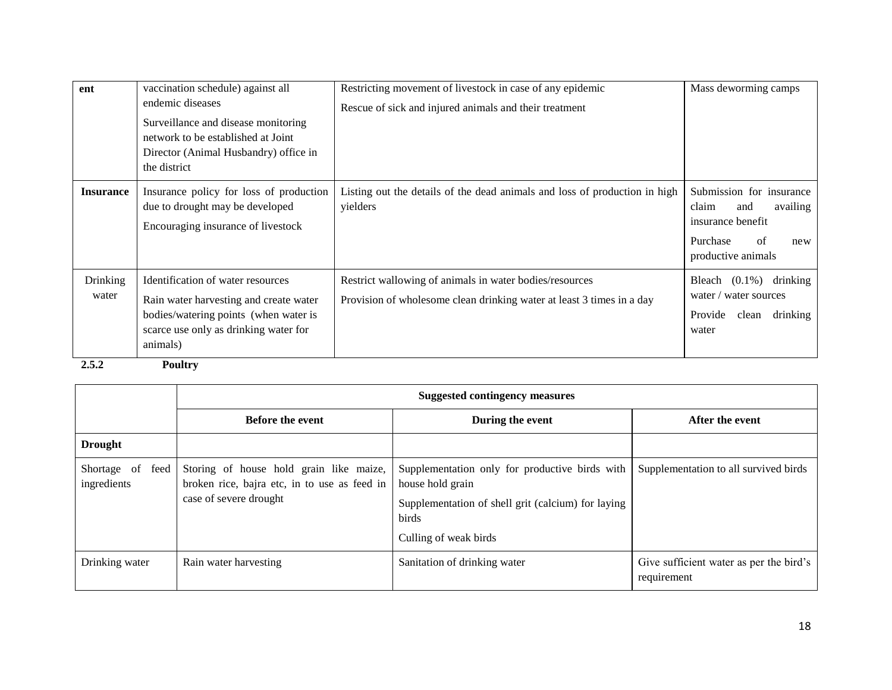| ent               | vaccination schedule) against all                                                                                                                                         | Restricting movement of livestock in case of any epidemic                                                                        | Mass deworming camps                                                                                                     |
|-------------------|---------------------------------------------------------------------------------------------------------------------------------------------------------------------------|----------------------------------------------------------------------------------------------------------------------------------|--------------------------------------------------------------------------------------------------------------------------|
|                   | endemic diseases<br>Surveillance and disease monitoring<br>network to be established at Joint<br>Director (Animal Husbandry) office in                                    | Rescue of sick and injured animals and their treatment                                                                           |                                                                                                                          |
|                   | the district                                                                                                                                                              |                                                                                                                                  |                                                                                                                          |
| <b>Insurance</b>  | Insurance policy for loss of production<br>due to drought may be developed<br>Encouraging insurance of livestock                                                          | Listing out the details of the dead animals and loss of production in high<br>yielders                                           | Submission for insurance<br>claim<br>and<br>availing<br>insurance benefit<br>of<br>Purchase<br>new<br>productive animals |
| Drinking<br>water | Identification of water resources<br>Rain water harvesting and create water<br>bodies/watering points (when water is<br>scarce use only as drinking water for<br>animals) | Restrict wallowing of animals in water bodies/resources<br>Provision of wholesome clean drinking water at least 3 times in a day | drinking<br>Bleach $(0.1\%)$<br>water / water sources<br>Provide<br>drinking<br>clean<br>water                           |
| 2.5.2             | <b>Poultry</b>                                                                                                                                                            |                                                                                                                                  |                                                                                                                          |

| ı |  |
|---|--|
|   |  |

|                                    | <b>Suggested contingency measures</b>                                                                             |                                                                                                                                                            |                                                        |  |  |
|------------------------------------|-------------------------------------------------------------------------------------------------------------------|------------------------------------------------------------------------------------------------------------------------------------------------------------|--------------------------------------------------------|--|--|
|                                    | <b>Before the event</b>                                                                                           | During the event                                                                                                                                           | After the event                                        |  |  |
| <b>Drought</b>                     |                                                                                                                   |                                                                                                                                                            |                                                        |  |  |
| Shortage of<br>feed<br>ingredients | Storing of house hold grain like maize,<br>broken rice, bajra etc, in to use as feed in<br>case of severe drought | Supplementation only for productive birds with<br>house hold grain<br>Supplementation of shell grit (calcium) for laying<br>birds<br>Culling of weak birds | Supplementation to all survived birds                  |  |  |
| Drinking water                     | Rain water harvesting                                                                                             | Sanitation of drinking water                                                                                                                               | Give sufficient water as per the bird's<br>requirement |  |  |